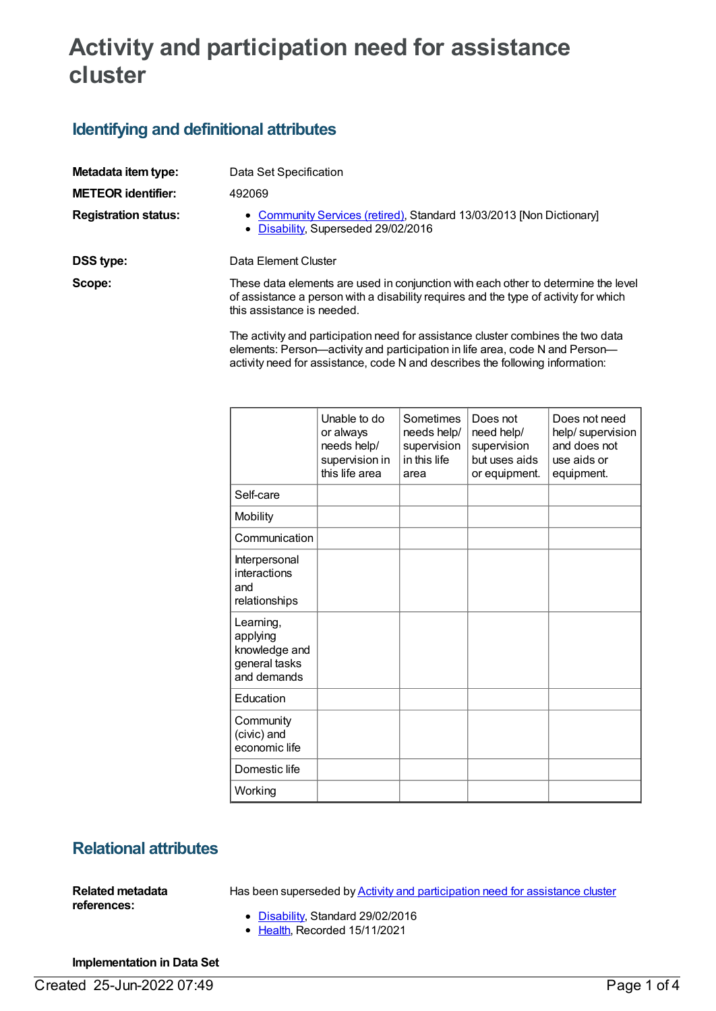# **Activity and participation need for assistance cluster**

## **Identifying and definitional attributes**

| Metadata item type:         | Data Set Specification                                                                                                                                                                                   |  |
|-----------------------------|----------------------------------------------------------------------------------------------------------------------------------------------------------------------------------------------------------|--|
| <b>METEOR identifier:</b>   | 492069                                                                                                                                                                                                   |  |
| <b>Registration status:</b> | • Community Services (retired), Standard 13/03/2013 [Non Dictionary]<br>• Disability, Superseded 29/02/2016                                                                                              |  |
| DSS type:                   | Data Element Cluster                                                                                                                                                                                     |  |
| Scope:                      | These data elements are used in conjunction with each other to determine the level<br>of assistance a person with a disability requires and the type of activity for which<br>this assistance is needed. |  |

The activity and participation need for assistance cluster combines the two data elements: Person—activity and participation in life area, code N and Person activity need for assistance, code N and describes the following information:

|                                                                        | Unable to do<br>or always<br>needs help/<br>supervision in<br>this life area | Sometimes<br>needs help/<br>supervision<br>in this life<br>area | Does not<br>need help/<br>supervision<br>but uses aids<br>or equipment. | Does not need<br>help/supervision<br>and does not<br>use aids or<br>equipment. |
|------------------------------------------------------------------------|------------------------------------------------------------------------------|-----------------------------------------------------------------|-------------------------------------------------------------------------|--------------------------------------------------------------------------------|
| Self-care                                                              |                                                                              |                                                                 |                                                                         |                                                                                |
| Mobility                                                               |                                                                              |                                                                 |                                                                         |                                                                                |
| Communication                                                          |                                                                              |                                                                 |                                                                         |                                                                                |
| Interpersonal<br>interactions<br>and<br>relationships                  |                                                                              |                                                                 |                                                                         |                                                                                |
| Learning,<br>applying<br>knowledge and<br>general tasks<br>and demands |                                                                              |                                                                 |                                                                         |                                                                                |
| Education                                                              |                                                                              |                                                                 |                                                                         |                                                                                |
| Community<br>(civic) and<br>economic life                              |                                                                              |                                                                 |                                                                         |                                                                                |
| Domestic life                                                          |                                                                              |                                                                 |                                                                         |                                                                                |
| Working                                                                |                                                                              |                                                                 |                                                                         |                                                                                |

## **Relational attributes**

**Related metadata references:**

Has been superseded by **Activity and [participation](https://meteor.aihw.gov.au/content/621177) need for assistance cluster** 

- [Disability](https://meteor.aihw.gov.au/RegistrationAuthority/16), Standard 29/02/2016
- [Health](https://meteor.aihw.gov.au/RegistrationAuthority/12), Recorded 15/11/2021

#### **Implementation in Data Set**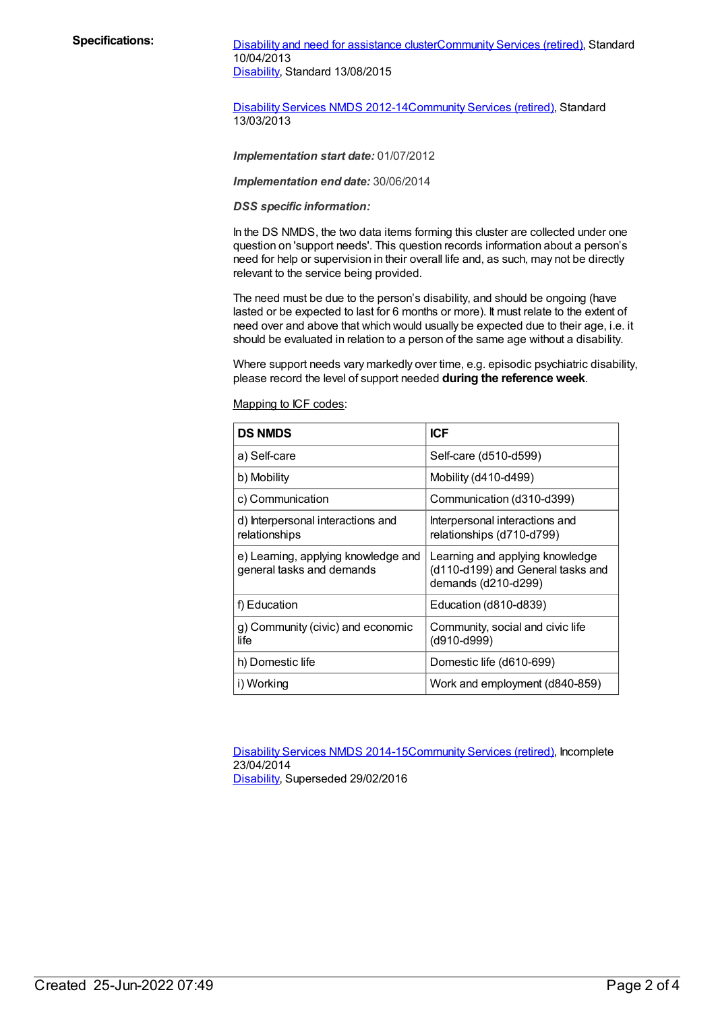Specifications: Disability and need for [assistance](https://meteor.aihw.gov.au/content/484548) cluste[rCommunity](https://meteor.aihw.gov.au/RegistrationAuthority/1) Services (retired), Standard 10/04/2013 [Disability](https://meteor.aihw.gov.au/RegistrationAuthority/16), Standard 13/08/2015

> [Disability](https://meteor.aihw.gov.au/content/461640) Services NMDS 2012-14[Community](https://meteor.aihw.gov.au/RegistrationAuthority/1) Services (retired), Standard 13/03/2013

*Implementation start date:* 01/07/2012

*Implementation end date:* 30/06/2014

*DSS specific information:*

In the DS NMDS, the two data items forming this cluster are collected under one question on 'support needs'. This question records information about a person's need for help or supervision in their overall life and, as such, may not be directly relevant to the service being provided.

The need must be due to the person's disability, and should be ongoing (have lasted or be expected to last for 6 months or more). It must relate to the extent of need over and above that which would usually be expected due to their age, i.e. it should be evaluated in relation to a person of the same age without a disability.

Where support needs vary markedly over time, e.g. episodic psychiatric disability, please record the level of support needed **during the reference week**.

Mapping to ICF codes:

| <b>DS NMDS</b>                                                   | <b>ICF</b>                                                                                  |
|------------------------------------------------------------------|---------------------------------------------------------------------------------------------|
| a) Self-care                                                     | Self-care (d510-d599)                                                                       |
| b) Mobility                                                      | Mobility (d410-d499)                                                                        |
| c) Communication                                                 | Communication (d310-d399)                                                                   |
| d) Interpersonal interactions and<br>relationships               | Interpersonal interactions and<br>relationships (d710-d799)                                 |
| e) Learning, applying knowledge and<br>general tasks and demands | Learning and applying knowledge<br>(d110-d199) and General tasks and<br>demands (d210-d299) |
| f) Education                                                     | Education (d810-d839)                                                                       |
| g) Community (civic) and economic<br>life                        | Community, social and civic life<br>(d910-d999)                                             |
| h) Domestic life                                                 | Domestic life (d610-699)                                                                    |
| i) Working                                                       | Work and employment (d840-859)                                                              |

[Disability](https://meteor.aihw.gov.au/content/569749) Services NMDS 2014-15[Community](https://meteor.aihw.gov.au/RegistrationAuthority/1) Services (retired), Incomplete 23/04/2014

[Disability](https://meteor.aihw.gov.au/RegistrationAuthority/16), Superseded 29/02/2016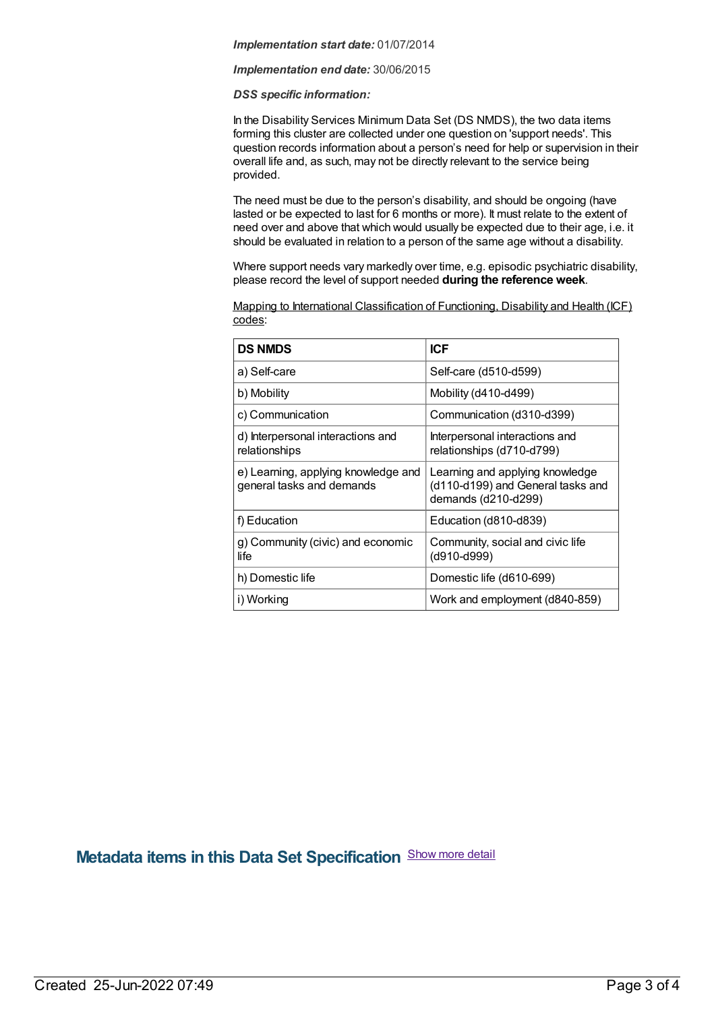#### *Implementation start date:* 01/07/2014

#### *Implementation end date:* 30/06/2015

#### *DSS specific information:*

In the Disability Services Minimum Data Set (DS NMDS), the two data items forming this cluster are collected under one question on 'support needs'. This question records information about a person's need for help or supervision in their overall life and, as such, may not be directly relevant to the service being provided.

The need must be due to the person's disability, and should be ongoing (have lasted or be expected to last for 6 months or more). It must relate to the extent of need over and above that which would usually be expected due to their age, i.e. it should be evaluated in relation to a person of the same age without a disability.

Where support needs vary markedly over time, e.g. episodic psychiatric disability, please record the level of support needed **during the reference week**.

| $\overline{a}$ $\overline{b}$ | $P^{\prime}$                                                                        |
|-------------------------------|-------------------------------------------------------------------------------------|
| codes:                        | Mapping to International Classification of Functioning, Disability and Health (ICF) |
|                               |                                                                                     |

| <b>DS NMDS</b>                                                   | <b>ICF</b>                                                                                  |
|------------------------------------------------------------------|---------------------------------------------------------------------------------------------|
| a) Self-care                                                     | Self-care (d510-d599)                                                                       |
| b) Mobility                                                      | Mobility (d410-d499)                                                                        |
| c) Communication                                                 | Communication (d310-d399)                                                                   |
| d) Interpersonal interactions and<br>relationships               | Interpersonal interactions and<br>relationships (d710-d799)                                 |
| e) Learning, applying knowledge and<br>general tasks and demands | Learning and applying knowledge<br>(d110-d199) and General tasks and<br>demands (d210-d299) |
| f) Education                                                     | Education (d810-d839)                                                                       |
| g) Community (civic) and economic<br>life                        | Community, social and civic life<br>(d910-d999)                                             |
| h) Domestic life                                                 | Domestic life (d610-699)                                                                    |
| i) Working                                                       | Work and employment (d840-859)                                                              |

### **Metadata items in this Data Set Specification** Show more detail